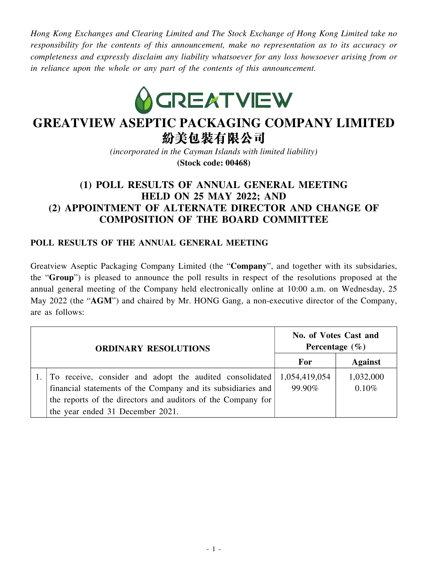*Hong Kong Exchanges and Clearing Limited and The Stock Exchange of Hong Kong Limited take no responsibility for the contents of this announcement, make no representation as to its accuracy or completeness and expressly disclaim any liability whatsoever for any loss howsoever arising from or in reliance upon the whole or any part of the contents of this announcement.*



# **GREATVIEW ASEPTIC PACKAGING COMPANY LIMITED** 紛美包裝有限公司

*(incorporated in the Cayman Islands with limited liability)*

**(Stock code: 00468)**

# **(1) POLL RESULTS OF ANNUAL GENERAL MEETING HELD ON 25 MAY 2022; AND (2) APPOINTMENT OF ALTERNATE DIRECTOR AND CHANGE OF COMPOSITION OF THE BOARD COMMITTEE**

#### **POLL RESULTS OF THE ANNUAL GENERAL MEETING**

Greatview Aseptic Packaging Company Limited (the "**Company**", and together with its subsidaries, the "**Group**") is pleased to announce the poll results in respect of the resolutions proposed at the annual general meeting of the Company held electronically online at 10:00 a.m. on Wednesday, 25 May 2022 (the "AGM") and chaired by Mr. HONG Gang, a non-executive director of the Company, are as follows:

|  | <b>ORDINARY RESOLUTIONS</b>                                           | No. of Votes Cast and<br>Percentage $(\% )$ |                |
|--|-----------------------------------------------------------------------|---------------------------------------------|----------------|
|  |                                                                       | For                                         | <b>Against</b> |
|  | To receive, consider and adopt the audited consolidated 1,054,419,054 |                                             | 1,032,000      |
|  | financial statements of the Company and its subsidiaries and          | 99.90%                                      | 0.10%          |
|  | the reports of the directors and auditors of the Company for          |                                             |                |
|  | the year ended 31 December 2021.                                      |                                             |                |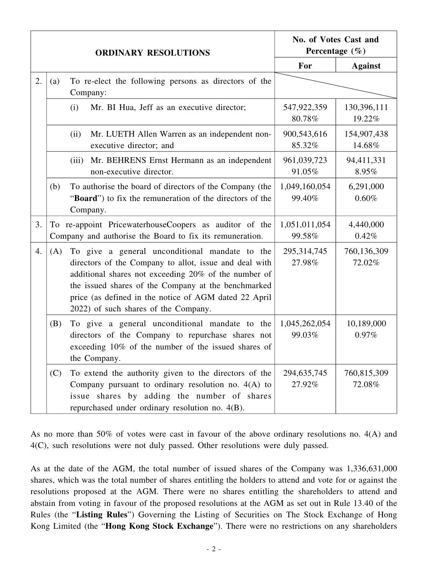|    |     | <b>ORDINARY RESOLUTIONS</b>                                                                                                                                                                                                                                                                                              | No. of Votes Cast and<br>Percentage $(\% )$ |                       |
|----|-----|--------------------------------------------------------------------------------------------------------------------------------------------------------------------------------------------------------------------------------------------------------------------------------------------------------------------------|---------------------------------------------|-----------------------|
|    |     |                                                                                                                                                                                                                                                                                                                          | For                                         | <b>Against</b>        |
| 2. | (a) | To re-elect the following persons as directors of the<br>Company:                                                                                                                                                                                                                                                        |                                             |                       |
|    |     | Mr. BI Hua, Jeff as an executive director;<br>(i)                                                                                                                                                                                                                                                                        | 547,922,359<br>80.78%                       | 130,396,111<br>19.22% |
|    |     | Mr. LUETH Allen Warren as an independent non-<br>(ii)<br>executive director; and                                                                                                                                                                                                                                         | 900,543,616<br>85.32%                       | 154,907,438<br>14.68% |
|    |     | Mr. BEHRENS Ernst Hermann as an independent<br>(iii)<br>non-executive director.                                                                                                                                                                                                                                          | 961,039,723<br>91.05%                       | 94,411,331<br>8.95%   |
|    | (b) | To authorise the board of directors of the Company (the<br>"Board") to fix the remuneration of the directors of the<br>Company.                                                                                                                                                                                          | 1,049,160,054<br>99.40%                     | 6,291,000<br>0.60%    |
| 3. |     | To re-appoint PricewaterhouseCoopers as auditor of the<br>Company and authorise the Board to fix its remuneration.                                                                                                                                                                                                       | 1,051,011,054<br>99.58%                     | 4,440,000<br>0.42%    |
| 4. | (A) | To give a general unconditional mandate to the<br>directors of the Company to allot, issue and deal with<br>additional shares not exceeding 20% of the number of<br>the issued shares of the Company at the benchmarked<br>price (as defined in the notice of AGM dated 22 April<br>2022) of such shares of the Company. | 295,314,745<br>27.98%                       | 760,136,309<br>72.02% |
|    | (B) | To give a general unconditional mandate to the<br>directors of the Company to repurchase shares not<br>exceeding 10% of the number of the issued shares of<br>the Company.                                                                                                                                               | 1,045,262,054<br>99.03%                     | 10,189,000<br>0.97%   |
|    | (C) | To extend the authority given to the directors of the<br>Company pursuant to ordinary resolution no. $4(A)$ to<br>issue shares by adding the number of shares<br>repurchased under ordinary resolution no. 4(B).                                                                                                         | 294,635,745<br>27.92%                       | 760,815,309<br>72.08% |

As no more than 50% of votes were cast in favour of the above ordinary resolutions no. 4(A) and 4(C), such resolutions were not duly passed. Other resolutions were duly passed.

As at the date of the AGM, the total number of issued shares of the Company was 1,336,631,000 shares, which was the total number of shares entitling the holders to attend and vote for or against the resolutions proposed at the AGM. There were no shares entitling the shareholders to attend and abstain from voting in favour of the proposed resolutions at the AGM as set out in Rule 13.40 of the Rules (the "**Listing Rules**") Governing the Listing of Securities on The Stock Exchange of Hong Kong Limited (the "**Hong Kong Stock Exchange**"). There were no restrictions on any shareholders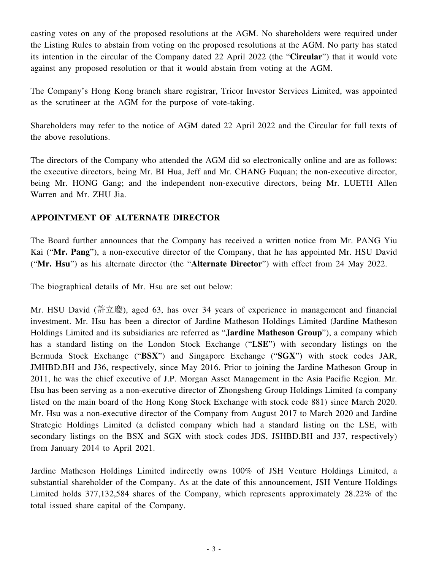casting votes on any of the proposed resolutions at the AGM. No shareholders were required under the Listing Rules to abstain from voting on the proposed resolutions at the AGM. No party has stated its intention in the circular of the Company dated 22 April 2022 (the "**Circular**") that it would vote against any proposed resolution or that it would abstain from voting at the AGM.

The Company's Hong Kong branch share registrar, Tricor Investor Services Limited, was appointed as the scrutineer at the AGM for the purpose of vote-taking.

Shareholders may refer to the notice of AGM dated 22 April 2022 and the Circular for full texts of the above resolutions.

The directors of the Company who attended the AGM did so electronically online and are as follows: the executive directors, being Mr. BI Hua, Jeff and Mr. CHANG Fuquan; the non-executive director, being Mr. HONG Gang; and the independent non-executive directors, being Mr. LUETH Allen Warren and Mr. ZHU Jia.

## **APPOINTMENT OF ALTERNATE DIRECTOR**

The Board further announces that the Company has received a written notice from Mr. PANG Yiu Kai ("**Mr. Pang**"), a non-executive director of the Company, that he has appointed Mr. HSU David ("**Mr. Hsu**") as his alternate director (the "**Alternate Director**") with effect from 24 May 2022.

The biographical details of Mr. Hsu are set out below:

Mr. HSU David (許立慶), aged 63, has over 34 years of experience in management and financial investment. Mr. Hsu has been a director of Jardine Matheson Holdings Limited (Jardine Matheson Holdings Limited and its subsidiaries are referred as "**Jardine Matheson Group**"), a company which has a standard listing on the London Stock Exchange ("**LSE**") with secondary listings on the Bermuda Stock Exchange ("**BSX**") and Singapore Exchange ("**SGX**") with stock codes JAR, JMHBD.BH and J36, respectively, since May 2016. Prior to joining the Jardine Matheson Group in 2011, he was the chief executive of J.P. Morgan Asset Management in the Asia Pacific Region. Mr. Hsu has been serving as a non-executive director of Zhongsheng Group Holdings Limited (a company listed on the main board of the Hong Kong Stock Exchange with stock code 881) since March 2020. Mr. Hsu was a non-executive director of the Company from August 2017 to March 2020 and Jardine Strategic Holdings Limited (a delisted company which had a standard listing on the LSE, with secondary listings on the BSX and SGX with stock codes JDS, JSHBD.BH and J37, respectively) from January 2014 to April 2021.

Jardine Matheson Holdings Limited indirectly owns 100% of JSH Venture Holdings Limited, a substantial shareholder of the Company. As at the date of this announcement, JSH Venture Holdings Limited holds 377,132,584 shares of the Company, which represents approximately 28.22% of the total issued share capital of the Company.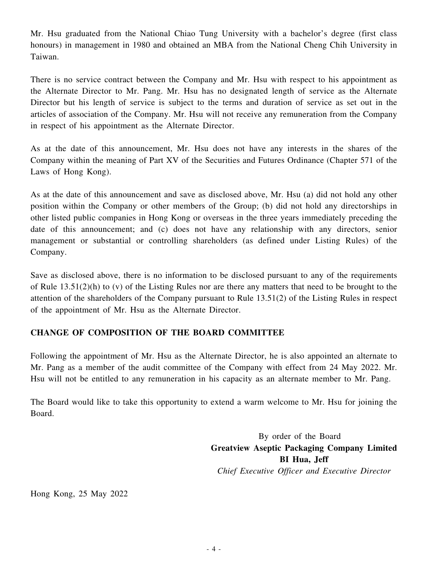Mr. Hsu graduated from the National Chiao Tung University with a bachelor's degree (first class honours) in management in 1980 and obtained an MBA from the National Cheng Chih University in Taiwan.

There is no service contract between the Company and Mr. Hsu with respect to his appointment as the Alternate Director to Mr. Pang. Mr. Hsu has no designated length of service as the Alternate Director but his length of service is subject to the terms and duration of service as set out in the articles of association of the Company. Mr. Hsu will not receive any remuneration from the Company in respect of his appointment as the Alternate Director.

As at the date of this announcement, Mr. Hsu does not have any interests in the shares of the Company within the meaning of Part XV of the Securities and Futures Ordinance (Chapter 571 of the Laws of Hong Kong).

As at the date of this announcement and save as disclosed above, Mr. Hsu (a) did not hold any other position within the Company or other members of the Group; (b) did not hold any directorships in other listed public companies in Hong Kong or overseas in the three years immediately preceding the date of this announcement; and (c) does not have any relationship with any directors, senior management or substantial or controlling shareholders (as defined under Listing Rules) of the Company.

Save as disclosed above, there is no information to be disclosed pursuant to any of the requirements of Rule  $13.51(2)$ (h) to (v) of the Listing Rules nor are there any matters that need to be brought to the attention of the shareholders of the Company pursuant to Rule 13.51(2) of the Listing Rules in respect of the appointment of Mr. Hsu as the Alternate Director.

## **CHANGE OF COMPOSITION OF THE BOARD COMMITTEE**

Following the appointment of Mr. Hsu as the Alternate Director, he is also appointed an alternate to Mr. Pang as a member of the audit committee of the Company with effect from 24 May 2022. Mr. Hsu will not be entitled to any remuneration in his capacity as an alternate member to Mr. Pang.

The Board would like to take this opportunity to extend a warm welcome to Mr. Hsu for joining the Board.

> By order of the Board **Greatview Aseptic Packaging Company Limited BI Hua, Jeff** *Chief Executive Officer and Executive Director*

Hong Kong, 25 May 2022